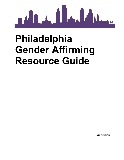

# **Philadelphia Gender Affirming Resource Guide**

**2022 EDITION**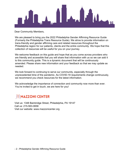

Dear Community Members,

We are pleased to bring you the 2022 Philadelphia Gender Affirming Resource Guide (Formerly the Philadelphia Trans Resource Guide). We strive to provide information on trans-friendly and gender affirming care and related resources throughout the Philadelphia region for our patients, clients and the entire community. We hope that this collection of resources will be useful for you on your journey.

We welcome feedback on this guide and hope that as you come across providers who are friendly and accessible that you will share that information with us so we can add it to this community guide. This is a dynamic document that will be continuously amended. Please share new information and your feedback so that we may update as needed.

We look forward to continuing to serve our community, especially through the unprecedented time of the pandemic. As COVID-19 requirements change continuously, we recommend you check resources for the latest information.

We acknowledge the importance of connection and community now more than ever. You're invited to get in touch, we are here for you!

## **JY(MAZZONI CENTER**

Visit us: 1348 Bainbridge Street, Philadelphia, PA 19147 Call us: 215-563-0658 Visit our website: www.mazzonicenter.org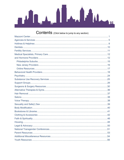

### **Contents** (Click below to jump to any section)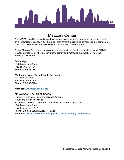

<span id="page-4-0"></span>Mazzoni Center The LGBTQ+ healthcare landscape has changed since we were founded as Lavender Health, an all-volunteer resource, in 1979. But our commitment to providing compassionate, competent LGBTQ-focused health and wellbeing services has remained the same.

Today, Mazzoni Center provides comprehensive health and wellness services in an LGBTQfocused environment, while preserving the dignity and improving the quality of life of the individuals we serve.

#### **Bainbridge**

1348 Bainbridge Street Philadelphia, PA 19147 **Phone:** 215-563-0652

#### **Washington West (Sexual Health Services)**

1201 Locust Street Philadelphia, PA 19107 **Phone:** 215-985-9206

**Website:** [www.mazzonicenter.org](http://www.mazzonicenter.org/)

#### **BEHAVIORAL HEALTH SERVICES**

Therapy, Psychiatry, Recovery Services, Groups Virtual and in-office sessions **Insurance:** Medicaid, Medicare, commercial insurance, sliding scale 1348 Bainbridge Street Philadelphia, PA 19147 **Phone:** 215-563-0652 ext. 248 for intake **Website:** [www.mazzonicenter.org/supportive-services/therapy-and-recovery](http://www.mazzonicenter.org/supportive-services/therapy-and-recovery)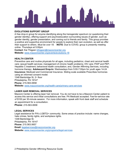

#### **EVOLUTIONS SUPPORT GROUP**

A free drop-in group for anyone identifying along the transgender spectrum (or questioning their gender identity), offering support and psychoeducation surrounding issues of gender, such as gender identity, gender presentation, and coming out to friends and family. This group provides a positive and supportive environment for people to explore their own evolution, as well as offer their support to others. *Must be over 18.* :**NOTE**: Due to COVID, group is presently meeting online .Thursdays at 5:00pm

**Contact**: Kai Thigpen [kthigpen@mazzonicenter.org](mailto:kthigpen@mazzonicenter.org) **Website:** [www.mazzonicenter.org/events/evolutions-18](https://www.mazzonicenter.org/events/evolutions-18) 

#### **HEALTH CENTER**

Preventive care and routine physicals for all ages, including pediatrics; chest and cervical health care; sexual health services; management of chronic health problems; HIV care; PrEP and PEP; Hepatitis C treatment; behavioral health consultation; and, Gender Affirming Services, including hormone therapy **Adolescent Drop-In:** Wednesdays from 5:00-7:00pm for youth ages 14-24 **Insurance:** Medicaid and Commercial Insurance. Sliding scale available Prescribes hormones using an informed consent model.

1348 Bainbridge St, 2<sup>nd</sup> floor Philadelphia, PA 19147 **Phone:** 215-563-0658 **Website:** [www.mazzonicenter.org/health-care/primary-care-services](http://www.mazzonicenter.org/health-care/primary-care-services)

#### **LASER HAIR REMOVAL SERVICES**

Mazzoni Center is offering laser hair removal. You do not have to be a Mazzoni Center patient to access this service and initial consultations are free. PA Medicaid accepted. Fee-for-service rate of \$100 per 30-minute session. For more information, speak with front desk staff and schedule an appointment for a consultation.

**Phone:** 215-563-0658

#### **LEGAL SERVICES**

Legal assistance for PA's LGBTQ+ community. Some areas of practice include: name changes, hate crimes, family rights, and workplace rights. 1348 Bainbridge St. Philadelphia, PA 19147 **Phone:** 215.563.0657 **Email:** [legalservices@mazzonicenter.org](mailto:legalservices@mazzonicenter.org) **Website:** [www.mazzonicenter.org/programs/legal-services](http://www.mazzonicenter.org/programs/legal-services)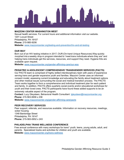

#### **MAZZONI CENTER WASHINGTON WEST**

Sexual health services. For current hours and additional information visit our website. 1201 Locust Street Philadelphia, PA 19107 **Phone:** 215-985-9206 **Website:** [www.mazzonicenter.org/testing-and-prevention/hiv-and-sti-testing](http://www.mazzonicenter.org/testing-and-prevention/hiv-and-sti-testing) 

#### **OUR WAY**

Born out of an HIV testing initiative in 2017, OUR (On-hand Unique Resources) Way quickly morphed into a weekly drop-in program intended to "meet trans individuals where they are" and helping trans individuals get the services, resources, and support they need. Hygiene Kits are available upon request.

**Website:** [www.mazzonicenter.org/gender-affirming-care/our-way](http://www.mazzonicenter.org/gender-affirming-care/our-way)

#### **PEDIATRIC & ADOLESCENT COMPREHENSIVE TRANSGENDER SERVICES (PACTS)**

Our PACTS team is comprised of highly skilled interdisciplinary team with years of experience serving trans and gender expansive youth and families. Mazzoni Center uses an informed consent model, assessing current knowledge and educating the family about treatment options and other medical issues surrounding the social and medical transition process. The PACTS Team works together to form a comprehensive and individual treatment plan for each patient and family. In addition, PACTS offers quarterly social events and/or educational workshops for youth and their loved ones. PACTS participants have found these added supports to be an extremely valuable aspect of the program.

**Contact:** Lucy Gleysteen, Behavioral Health Consultant [lgleysteen@mazzonicenter.org](mailto:lgleysteen@mazzonicenter.org)  **Phone:** 215.563.0658 x 238

**Website:** [www.mazzonicenter.org/gender-affirming-care/pacts](http://www.mazzonicenter.org/gender-affirming-care/pacts)

#### **PEER RECOVERY SERVICES**

Peer support, referrals, and resources available. Information on recovery resources, meetings, sober housing 1348 Bainbridge Street Philadelphia, PA 19147 **Phone:** 215-563-0652 x 243

#### **PHILADELPHIA TRANS WELLNESS CONFERENCE**

Free annual conference with many workshops for trans\* youth, teens, young adults, adult, and parents. Specialized tracks and activities for children and youth are available. **Website:** [www.mazzonicenter.org/trans-wellness](http://www.mazzonicenter.org/trans-wellness)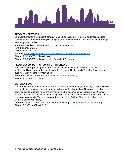

#### **RECOVERY SERVICES**

Outpatient, Intensive Outpatient, Groups, Medication-Assisted Treatment and Peer Services Telehealth and In-office Serving Philadelphia, Bucks, Montgomery, Delaware, Chester, Lehigh, Northampton Counties **Insurance:** Medicaid, Medicare and commercial insurances 1348 Bainbridge Street Philadelphia, PA 19147 **Website**: [www.mazzonicenter.org/supportive-services/therapy-and-recovery](http://www.mazzonicenter.org/supportive-services/therapy-and-recovery)  **Phone:** 215-563-0652 x 248 (Intake) **Phone:** 215-563-0652 x 243 (Intensive Outpatient Program)

#### **RECOVERY SUPPORT GROUPS FOR TG/GNC/NB**

Peer led support groups open to LGBTQ+ individuals affected by substance use who are seeking additional support for substance related issues. Held virtually Tuesday & Wednesday evenings. Visit website for meeting link.

**Website:** [www.mazzonicenter.org/events/all-recovery-meeting,](http://www.mazzonicenter.org/events/all-recovery-meeting)

**Phone:** 215-563-0652 x 243

#### **SISTERLY LOVE**

The group's goal is to empower the Trans, Gender Nonconforming, Non-binary (TGNCNB) FEM community through peer support, ongoing training, and skills-building. The group provides opportunities to organize within the community and to become active leaders who influence actions, policies, and decisions that directly affect the Trans community here at Mazzoni Center and in our community. The meetings are held every third Friday of the month at Mazzoni Center's Bainbridge facility.

**Contact:** Tatyana Woodard, Community Affairs Manager [twoodard@mazzonicenter.org](mailto:twoodard@mazzonicenter.org)  **Phone:** 215 -563-0652 ext. 617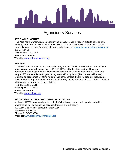

### Agencies & Services

#### <span id="page-8-0"></span>**ATTIC YOUTH CENTER**

The Attic Youth Center creates opportunities for LGBTQ youth (ages 13-23) to develop into healthy, independent, civic-minded adults within a safe and interactive community. Offers free counseling and groups. Program calendar available online**:** [www.atticyouthcenter.org/calendar](http://www.atticyouthcenter.org/calendar) 255 S. 16th St. Philadelphia, PA 19102 **Phone:** 215.545.4331

**Website:** [www.atticyouthcenter.org](http://www.atticyouthcenter.org/)

#### **BEBASHI**

Within Bebashi's Prevention and Education program, individuals of the LBTQ+ community can receive assistance with accessing PrEP/PEP, HIV/AIDS education, and healthcare and treatment. Bebashi operates the Trans Necessities Closet, a safe space for GNC folks and people of Trans experience to get clothing, wigs, affirming items (like binders, STP's, etc), referrals, and resources for affirming care. Bebashi operates the HYPE program that creates skills and knowledge around risk reduction like PrEP, testing, and STD/STI prevention education while centering around ballroom activities.

1235 Spring Garden St. Philadelphia, PA 19123 **Phone:** 215-769-3561 **Website:** [www.bebashi.org](http://www.bebashi.org/)

#### **BRADBURY-SULLIVAN LGBT COMMUNITY CENTER**

A vibrant LGBTQ+ community in the Lehigh Valley through arts, health, youth, and pride programs as well as supportive services, training, and advocacy. 522 West Maple Street at Bayard Rustin Way Allentown, PA 18101 **Phone:** 610-347-9988 **Website:** [www.bradburysullivancenter.org](http://www.bradburysullivancenter.org/)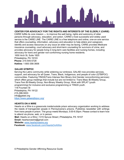

#### **CENTER FOR ADVOCACY FOR THE RIGHTS AND INTERESTS OF THE ELDERLY (CARIE)**

CARIE fulfills its core mission — to improve the well being, rights and autonomy of older persons through advocacy, education, and action. CARIE's most successful and widely used service is the CARIE LINE. The CARIE LINE is a free telephone and online, one-on-one service that offers counseling, information, advocacy and education to help elders and caregivers identify and access resources on *any issue* an elder may be facing. CARIE provides Medicare insurance counseling, court advocacy and short-term counseling for survivors of crime, and provides advocacy for people living in long-term care facilities and nursing homes, including advocacy for trans and gender non-conforming nursing home residents.

1650 Arch St, Suite 1825 Philadelphia, PA 19103 **Phone:** 215-545-5728 **Hotline:** 1-800-356-3606

#### **GALAEI QTBIPOC**

Serving the Latinx community while widening our embrace, GALAEI now provides services, support, and advocacy for all Queer, Trans, Black, Indigenous, and people of color (QTBIPOC) communities. Featuring TINGS(Trans Intersex Non Binary And Gender nonconforming services) which offers group meetings that include but are not limited to: Trans Masc Bi-Weekly Group, Trans Fem Bi-Weekly Group, Non-Binary Weekly Group, Work with SPLAT (youth programming) for inclusive and exclusive programming or TINGS youth.

118 Fountain St Philadelphia, PA 19122 215-398-5003 info@galaei.org <https://www.galaeiqtbipoc.org/>

#### **HEARTS ON A WIRE**

Hearts on a Wire is a grassroots inside/outside prison advocacy organization working to address the needs of transgender people in Pennsylvania's prisons. Publishes newsletter with writings from trans people in prison. The group meets Mondays, 5:00-6:30pm. Please contact to learn how to attend via phone, web, or in person.

**Mail:** Hearts on a Wire | 1315 Spruce Street | Philadelphia, PA 19107 **Email:** heartsonawire@gmail.com **Website:** [www.heartsonawire.org](http://www.heartsonawire.org/) 

**Facebook:** [www.facebook.com/HeartsOnAWire](http://www.facebook.com/HeartsOnAWire)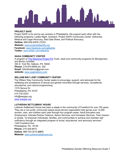

#### **PROJECT SAFE**

Project SAFE is for and by sex workers in Philadelphia. We support each other with the following programs: Ladies Night, Outreach, Project SAFE Community Center, Deliveries, Medical and Legal Advocacy, Bad Date Sheet, and Political Advocacy. **Hotline:** 866-509-SAFE (7233) **Website:** [www.projectsafephilly.org](http://www.projectsafephilly.org/) **Facebook:** [www.facebook.com/safephila](https://www.facebook.com/safephila) **Twitter:** [www.twitter.com/safephila](http://www.twitter.com/safephila)

#### **SAGA COMMUNITY CENTER**

A program of **The [Welcome](https://welcomeprojectpa.org/) Project PA Youth, adult and community programs for Montgomery** and Bucks Counties 350 S. York Rd. Hatboro, PA 19040 **Phone:** 215-675-8808 ext. 202 **Email:** [SAGAHatboro@gmail.com](mailto:SAGAHatboro@gmail.com) **website:** [www.sagahatboro.com](http://www.sagahatboro.com/) 

#### **WILLIAM WAY LGBT COMMUNITY CENTER**

The William Way Community Center seeks to encourage, support, and advocate for the wellbeing and acceptance of sexual and gender minorities through services, recreational, educational, and cultural programming.

1315 Spruce St. Philadelphia, PA 19107 215-732-2220 info@waygay.org [www.waygay.org](http://www.waygay.org/)

#### **LUTHERAN SETTLEMENT HOUSE**

Lutheran Settlement House has been a staple in the community of Frankford for over 100 years. They are a non-profit, community based social service organization that serves over 14,000 women, men, and children each year through four program areas: Adult Education and Employment, Intimate Partner Violence, Senior Services, and Homeless Services. Their mission is simple, "to empower individuals, families, and communities to achieve and maintain selfsufficiency through an integrated program of social, educational, and advocacy services." 1340 Frankford Ave Philadelphia, PA. 19125 **Phone:** 215-426-8610 **Hotline**: 866-723-3014 **(24/7) Website:** [www.lutheransettlement.org](http://www.lutheransettlement.org/)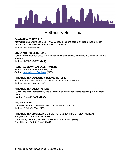

### <span id="page-11-0"></span>Hotlines & Helplines

#### **PA STATE AIDS HOTLINE**

Information and referrals to local HIV/AIDS resources and sexual and reproductive health information. **Available:** Monday-Friday from 9AM-6PM. **Hotline:** 1-800-662-6080

#### **COVENANT HOUSE HOTLINE**

National hotline for homeless and runaway youth and families. Provides crisis counseling and referrals.

**Hotline:** 1-800-999-9999 **(24/7)**

#### **NATIONAL SEXUAL ASSAULT HOTLINE**

**Hotline:** 1-800-656-HOPE (4673) **(24/7) Online:** [www.rainn.org/get-help](http://www.rainn.org/get-help) **(24/7)**

#### **PHILADELPHIA DOMESTIC VIOLENCE HOTLINE**

Hotline for survivors of domestic violence/intimate partner violence. **Hotline:** 1-866-723-3014 **(24/7)**

#### **PHILADELPHIA BULLY HOTLINE**

LGBTQI violence, harassment, and discrimination hotline for events occurring in the school system. **Hotline:** 215-400-SAFE (7233)

#### **PROJECT HOME –**

Homeless Outreach Hotline Access to homelessness services **Hotline:** 215-232-1984 **(24/7)**

#### **PHILADELPHIA SUICIDE AND CRISIS HOTLINE (OFFICE OF MENTAL HEALTH)**

**For yourself:** 215-686-4420 **(24/7) For a family member, relative, or friend:** 215-685-6440 **(24/7) For children:** 215-685-06440 **(24/7)**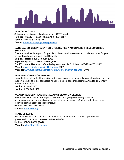

#### **TREVOR PROJECT**

Suicide and crisis prevention helpline for LGBTQ youth. **Hotline:** 1.866.4U.TREVOR (1.866.488.7386) **(24/7) Text:** 'START' to 678-678 **(24/7) Online:** [www.thetrevorproject.org/get-help/](http://www.thetrevorproject.org/get-help/) 

#### **NATIONAL SUICIDE PREVENTION LIFELINE/ RED NACIONAL DE PREVENCIÓN DEL SUICIDIO**

Free and confidential support for people in distress and prevention and crisis resources for you or your loved ones in English and Spanish**.**

**English/ Ingles: 1-800-273-8255 (24/7**

**Espanol/ Spanish: 1-888-628-9454 (24/7**

**For TTY Users:** Use your preferred relay service or dial 711 then 1-800-273-8255. **(24/7 Website:** [www.suicidepreventionlifeline.org/](http://www.suicidepreventionlifeline.org/) **(24/7) Website:** [www.suicidepreventionlifeline.org/helpyourself/en-espanol/](http://www.suicidepreventionlifeline.org/helpyourself/en-espanol/) (24/7)

#### **HEALTH INFORMATION HOTLINE**

Central intake hotline for HIV positive individuals to get more information about medical care and support, as well as to get connected with HIV medical case management. **Available:** Monday-Friday 8am-5:30pm **Hotline:** 215.985.2437 **Hotline;** 1.800.985.2437

#### **WOAR PHILADELPHIA CENTER AGAINST SEXUAL VIOLENCE**

Sexual assault hotline. Offers support, referrals for ongoing counseling, medical accompaniment, and information about reporting sexual assault. Staff and volunteers have received training about transgender issues. **Hotline** :215.985.3333 **(24/7) Website:** [www.woar.org](http://www.woar.org/)

#### **TRANS LIFELINE**

Hotline available in the U.S. and Canada that is staffed by trans people. Operators are guaranteed to be on call between 10:00am-4:00am. **Hotline** :877-565-8860 **(24/7) Website:** <https://translifeline.org/>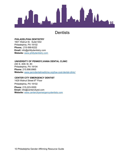

### **Dentists**

#### <span id="page-13-0"></span>**PHILADELPHIA DENTISTRY**

1601 Walnut St. Suite1302 Philadelphia, PA 19102 **Phone;**: 215-568-6222 **Email:** info@phillydentistry.com **Website:** [www.phillydentistry.com](http://www.phillydentistry.com/)

### **UNIVERSITY OF PENNSYLVANIA DENTAL CLINIC**

240 S. 40th St. #3 Philadelphia, PA 19104 **Phone:** 215.898.8965 **Website:** [www.penndentalmedicine.org/low-cost-dental-clinic/](http://www.penndentalmedicine.org/low-cost-dental-clinic/) 

#### **CENTER CITY EMERGENCY DENTIST**

1429 Walnut Street 6th Floor Philadelphia, PA 19102 **Phone**: 215-223-5555 **Email:** info@centercityed.com **Website:** [www.centercityemergencydentists.com](http://www.centercityemergencydentists.com/)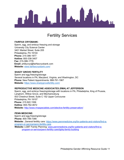

### Fertility Services

#### <span id="page-14-0"></span>**FAIRFAX CRYOBANK:**

Sperm, egg, and embryo freezing and storage University City Science Center 3401 Market Street, Suite 205 Philadelphia, PA 19104 **Phone:** 215-386-1977 **Hotline:** 800-338-3407 **Fax:** 215-386-1776 **Email:** phillycryo@fairfaxcryobank.com **Website:** [www.fairfaxcryobank.com/](http://www.fairfaxcryobank.com/)

#### **SHADY GROVE FERTILITY**

Sperm and egg freezing/storage Several locations in PA, Maryland, Virginia, and Washington, DC **Phone:** New Patient Appointments: 888-761-1967 **Website:** <https://www.shadygrovefertility.com/>

#### **REPRODUCTIVE MEDICINE ASSOCIATES (RMA) AT JEFFERSON**

Sperm, egg, and embryo freezing/storage with locations in PA, Philadelphia, King of Prussia, Langhorn, Willow Grove, and Mechanicsburg 833 Chestnut Street, Suite C 152 Upper Concourse Philadelphia, PA 19107 **Phone:** 215.922.1556 **Hotline:** 855-762-4672 **Website:** <http://www.rmaspecialists.com/elective-fertility-preservation/>

**PENN MEDICINE:**  Sperm and egg freezing/storage **Phone:** 800-789-7366 **Website:** General fertility care: [https://www.pennmedicine.org/for-patients-and-visitors/find-a](https://www.pennmedicine.org/for-patients-and-visitors/find-a-program-or-service/penn-fertility-care)[program-or-service/penn-fertility-care](https://www.pennmedicine.org/for-patients-and-visitors/find-a-program-or-service/penn-fertility-care) **Website:** LGBT Family Planning: www.pennmedicine.org/for-patients-and-visitors/find-aprogram-or-service/penn-fertility-care/lgbtq-family-building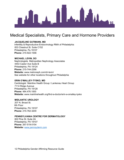

### <span id="page-15-0"></span>Medical Specialists, Primary Care and Hormone Providers

#### <span id="page-15-1"></span>**JACQUELINE GUTMANN, MD**

Infertility & Reproductive Endocrinology RMA of Philadelphia 833 Chestnut St. Suite C152 Philadelphia, Pa 19107 **Phone:** 215-922-1556

#### **MICHAEL LEVIN, DO**

Nephrologists Metropolitan Nephrology Associates 4453 Castor Ave Suite B Philadelphia, PA 19124 **Phone:** 215-744-2266 **Website:** www.metroneph.com/dr-levin/ See website for other locations throughout Philadelphia

#### **ERIN O'MALLEY-TYSKO, MD**

Cardiologist Mainline Health Group / Lankenau Heart Group 7114 Ridge Avenue Philadelphia, PA 19128 **Phone:** 484.476.1000 **Website:** www.mainlinehealth.org/find-a-doctor/erin-a-omalley-tysko

#### **MIDLANTIC UROLOGY**

207 N. Broad St. 6th Floor Philadelphia, PA 19107 **Phone:** 215-762-3200

#### **PENNSYLVANIA CENTRE FOR DERMATOLOGY**

822 Pine St. Suite 2A Philadelphia, PA 19107 **Phone:** 267-519-0154 **Website:** [www.pennsyderm.com](http://www.pennsyderm.com/)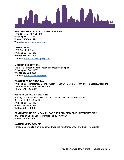

**PHILADELPHIA UROLOGY ASSOCIATES, P.C.**  1015 Chestnut St, Suite 405 Philadelphia, PA 19107

**Phone:** 215-563-1199 **Website:** [www.philaurology.com](http://www.philaurology.com/)

#### **OMNI-VISION**

1230 Chestnut Street Philadelphia, PA 19107 **Phone:** 215-997-7700 **Website:** [www.omnivisionphilly.com](http://www.omnivisionphilly.com/) 

#### **MODERN EYE OPTICAL**

145 S. 13<sup>th</sup> Street (second location in West Philadelphia) Philadelphia, PA 19107 **Phone:** 215-922-3300 **Website:** [www.modern-eye.com](http://www.modern-eye.com/) 

#### **EINSTEIN PRIDE PROGRAM**

Philadelphia, Montgomery County Ages14+ OB/GYN, Mental Health and Transcare. Accepting Medicaid and commercial insurance **Phone:** 215-420-0989

#### **JEFFERSON FAMILY MEDICINE**

Primary healthcare to all LGBTQI communities. Most insurance accepted. 833 Chestnut St., Suite 301 Philadelphia, PA 19107 **Phone:** 215-955-7190 **Hotline:** 800-533-3669

**PENN MEDICINE PENN FAMILY CARE AT PENN MEDICINE UNIVERSITY CITY**  3737 Market Street, 9th Floor Philadelphia, PA 19104 **Phone:** 215-662-8777

#### **KATHERINE MARGO, MD**

Family medicine clinician experienced working with transgender and LGBT individuals.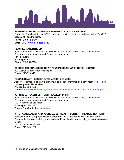

#### **PENN MEDICINE TRANSGENDER PATIENT ADVOCATE PROGRAM**

Part of the Penn Medicine for LGBT Health and provides advocacy and support for TGNCNB patients at Penn Medicine. **Phone:** 215-573-8499 **Email:** LGBThlth@med.upenn.edu

#### **PLANNED PARENTHOOD**

Ages 18+ Insurance: PA Medicaid, some Commercial Insurance, sliding scale available Prescribes hormones using an informed consent model 1144 Locust St Philadelphia PA **Phone:** 215-351-5560.

#### **SPRUCE INTERNAL MEDICINE AT PENN MEDICINE WASHINGTON SQUARE**

800 Walnut St, 16th Floor Philadelphia, PA 19104 **Phone:** 215-829-0101

#### **TEMPLE HEALTH GENDER AFFIRMATION SERVICES**

Ages 18+ Hormones, primary & preventive care, gender affirming surgery, resources. Temple University and affiliated sites. **Phone:** 800-836-7536 **Website:** [www.templehealth.org/services/treatments/gender-affirmation-hormone-therapy](http://www.templehealth.org/services/treatments/gender-affirmation-hormone-therapy)

#### **JOHN BELL HEALTH CENTER (PHILADELPHIA FIGHT)**

Ages 18+ Insurance: PA Medicaid, some Commercial Insurance, sliding scale available Prescribes hormones using an informed consent model. 1207 Chestnut St, 3rd Floor Philadelphia, PA 19107 **Phone:** 267-725-0252 [www.fight.org](http://www.fight.org/) 

#### **Y-HEP ADOLESCENT AND YOUNG ADULT HEALTH CENTER (PHILADELPHIA FIGHT)**

Adolescent and Young Adult Health Center Ages: 13-24 Insurance: PA Medicaid, some Commercial Insurance, sliding scale available Prescribes hormones using an informed consent model.

1207 Chestnut St, 5<sup>th</sup> floor **Phone:** 215-344-1632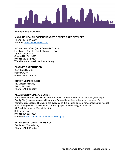

#### <span id="page-18-0"></span>**Philadelphia Suburbs**

**MAINLINE HEALTH COMPREHENSIVE GENDER CARE SERVICES Phone:** 484-337-5329 **Website:** [www.mainlinehealth.org](http://www.mainlinehealth.org/) 

#### **MOSAIC MEDICAL (AIDS CARE GROUP) –**

Locations in Chester, PA & Sharon Hill, PA 1300 Chester Pike Sharon Hill, PA 19079 **Phone:** 610-872-9101 **Website:** www.mosaicmedicalcenter.org

#### **PLANNED PARENTHOOD**

2081 East High St. Pottstown, PA **Phone:** 610-326-8080

#### **CHRISTINE MEYER, MD**

750 Lincoln Highway Exton, PA 19341 **Phone:** 610-363-0100

#### **ALLENTOWN WOMEN'S CENTER**

Ages: 16+ Insurance: PA Medicaid (Amerihealth Caritas, Amerihealth Northeast, Geisinger Family Plan), some commercial insurance Referral letter from a therapist is required for hormone prescription. Therapists are available at this location to meet for counseling for referral letter. Sliding scale is available for counseling appointments only, not medical. 31 South Commerce Way, Suite 100 Bethlehem PA **Phone:** 484-821-0821 **Website:** [www.allentownwomenscenter.com/lgbtq](http://www.allentownwomenscenter.com/lgbtq) 

#### **ALLEN SMITH, CRNP (NOVUS ACS)**

Bethlehem / Stroudsburg **Phone:** 610-867-5365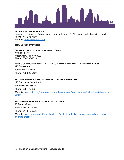

#### **ALDER HEALTH SERVICES**

Harrisburg / Lancaster Primary care, hormone therapy, GYN, sexual health, behavioral health **Phone:** 717-233-7190 **Website:** [www.alderhealth.org/](http://www.alderhealth.org/) 

#### <span id="page-19-0"></span>**New Jersey Providers**

#### **COOPER CARE ALLIANCE PRIMARY CARE**

2339 Route 70 West Cherry Hill, NJ 08002 **Phone:** 856-536-1515

#### **VNACJ COMMUNITY HEALTH – LGBTQ CENTER FOR HEALTH AND WELLNESS**

816 Sunset Ave Asbury Park, NJ 07712 **Phone:** 732-502-5130

#### **PROUD CENTER AT RWJ SOMERSET – BABS SIPERSTEIN**

128 Rehill Ave, Suite 1100 Somerville, NJ 08876 **Phone:** 855-776-8334 **Website:** [www.rwjbh.org/rwj-university-hospital-somerset/treatment-care/babs-siperstein-proud](http://www.rwjbh.org/rwj-university-hospital-somerset/treatment-care/babs-siperstein-proud-center/)[center/](http://www.rwjbh.org/rwj-university-hospital-somerset/treatment-care/babs-siperstein-proud-center/) 

#### **HADDONFIELD PRIMARY & SPECIALTY CARE**

80 Tanner Street Haddonfield, NJ 08033 **Phone:** 844-542-2273

**Website:** [www.newjersey.jeffersonhealth.org/mydoc/haddonfield-primary-specialty-care-lgbtq](http://www.newjersey.jeffersonhealth.org/mydoc/haddonfield-primary-specialty-care-lgbtq-affirming-practice)[affirming-practice](http://www.newjersey.jeffersonhealth.org/mydoc/haddonfield-primary-specialty-care-lgbtq-affirming-practice)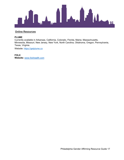

#### <span id="page-20-0"></span>**Online Resources**

#### **PLUME**

Currently available in Arkansas, California, Colorado, Florida, Maine, Massachusetts, Minnesota, Missouri, New Jersey, New York, North Carolina, Oklahoma, Oregon, Pennsylvania, Texas, Virginia.

Website: [https://getplume.co](https://getplume.co/)

**FOLX Website:** [www.folxhealth.com](http://www.folxhealth.com/)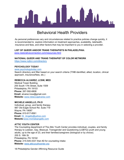

### Behavioral Health Providers

<span id="page-21-0"></span>As personal preferences vary and circumstances related to practice policies change quickly, it is recommended to explore information on treatment approaches, availability, telehealth, insurance and fees, and other factors that may be important to you in selecting a provider.

#### **LIST OF QUEER AND/OR TRANS THERAPISTS IN PHILADELPHIA:**

[www.restorativeconnection.com/resources.html](https://www.restorativeconnection.com/resources.html)

#### **NATIONAL QUEER AND TRANS THERAPIST OF COLOR NETWORK**

<https://www.nqttcn.com/directory>

#### **PSYCHOLOGY TODAY**

[www.psychologytoday.com](http://www.psychologytoday.com/)

Search directory and filter based on your search criteria (T/NB identified, allied, location, clinical approach, insurance/fees, etc.)

#### **REBECCA ALVAREZ, LCSW, MED**

Medical Tower Building 255 South 17th Street, Suite 1509 Philadelphia, PA 19103 **Phone:** 267-592-6808 **Email:** alvarez.lcsw@gmail.com **Website:** [www.rebeccajalvarez.com](http://www.rebeccajalvarez.com/)

#### **MICHELE ANGELLO, PH.D**

Individual, group, and family therapy. 987 Old Eagle School Rd. Suite 719 Wayne, PA 19087 **Phone:** 610-917-8561 **Email:** [Dr\\_Angello@yahoo.com](mailto:Dr_Angello@yahoo.com) **Website:**[www.micheleangello.com](http://www.micheleangello.com/) 

#### **ATTIC YOUTH CENTER**

The Counseling department of The Attic Youth Center provides individual, couples, and family therapy to Lesbian, Gay, Bisexual, Transgender and Questioning (LGBTQ) youth and young adults, up to the age of 23, and their families/caregivers (biological or by choice). 255 S. 16th St. Philadelphia, PA 19102 **Phone:** 215-545-4331 then #2 for counseling intake **Website:** [www.atticyouthcenter.org](http://www.atticyouthcenter.org/)

18 Philadelphia Gender Affirming Resource Guide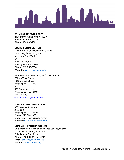

#### **SYLVIA G. BROWN, LCSW**

2401 Pennsylvania Ave, #15B29 Philadelphia, PA 19130 **Phone:** 484-893-4081

#### **BUCKS LGBTQ CENTER**

Mental Health and Recovery Services 17 Barclay Street, Bldg B3 Newtown, PA 18940 or 5246 York Road Buckingham, PA 18902 **Phone:** 215-260-7570 **Website:** [www.Buckslgbtq.com](http://www.buckslgbtq.com/) 

#### **ELIZABETH BYRNE, MA, NCC, LPC, CTTS**

William Way Center 1315 Spruce Street Philadelphia, PA 19107 or 520 Carpenter Lane Philadelphia, PA 19119 267-498-5237 elizabethabyrne@yahoo.com

#### **MARLA COBIN, PH.D, LCSW**

6703 Germantown Ave. Suite 200 Philadelphia, PA 19119 **Phone:** 610.304.9886 **Email:** marla\_cobin@yahoo.com **Website:** [www.drmarlacobin.com](http://www.drmarlacobin.com/) 

#### **COMHAR – PACTS PROGRAM**

Outpatient mental health, substance use, psychiatry 100 S. Broad Street, Suite 1430 Philadelphia, PA 19110 **Phone:** 215-569-8414 ext. 244 **Email:** [psalinas@comhar.org](mailto:psalinas@comhar.org) **Website:** [www.comhar.org](http://www.comhar.org/)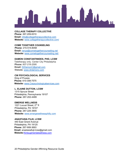

**COLLAGE THERAPY COLLECTIVE Phone**: 267-209-0010 **Email:** [info@collagetherapycollective.com](mailto:info@collagetherapycollective.com) **Website:** [www.collagetherapycollective.com/](https://www.collagetherapycollective.com/)

**COME TOGETHER COUNSELING Phone:** 215-515-8058 **Email:** [renya@cometogethercounseling.net](mailto:renya@cometogethercounseling.net) **Website:** [www.cometogethercounseling.net/](http://www.cometogethercounseling.net/)

#### **DAMON CONSTANTINIDES, PHD, LCSW**

Teletherapy only. Center City Philadelphia **Phone:** 607-218-2595 **Email:** [DrDamonC@gmail.com](mailto:DrDamonC@gmail.com) Website: [www.drdamonc.com](http://www.drdamonc.com/)

#### **CW PSYCHOLOGICAL SERVICES**

King of Prussia **Phone:** 610-308-7575 **Website:** [www.Cwpsychologicalservices.com](http://www.cwpsychologicalservices.com/) 

#### **L. ELAINE DUTTON, LCSW**

1315 Spruce Street Philadelphia, Pennsylvania 19107 **Phone:** 267-202-4489

#### **EMERGE WELLNESS**

1221 Locust Street, 2<sup>nd</sup> fl Philadelphia, PA 19107 **Phone:** 267-225-3905 **Website:** [www.emergewellnessphilly.com](http://www.emergewellnessphilly.com/) 

#### **ANASTASIA FUJII, LCSW**

440 East Girard Avenue Philadelphia, PA 19125 **Phone:** 267-908-3693 **Email:** anastasiafujii.lcsw@gmail.com **Website:**Kintsugimentalwellness.com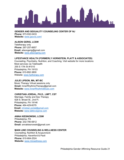

**GENDER AND SEXUALITY COUNSELING CENTER OF NJ Phone:** 973-932-0433 **Website:** [www.gsccnj.com/](http://www.gsccnj.com/)

#### **ALISON GERIG, LCSW**

Teletherapy only **Phone:** 267-257-6657 **Email:** alisongerig@gmail.com **Website:** [www.alisongerig.com](http://www.alisongerig.com/) 

#### **LIFESTANCE HEALTH (FORMERLY HORNSTEIN, PLATT & ASSOCIATES)**

Counseling, Psychiatry, Nutrition, and Coaching. Visit website for more locations Most services via Telehealth 255 S 17th St #1010 Philadelphia, PA 19103 **Phone:** 610-892-3800 Website: [www.hptherapy.com](http://www.hptherapy.com/)

#### **JULIE LIPSON, MA, MT-BC**

Music Therapy Virtual sessions only **Email:** InnerRhythmsTherapy@gmail.com **Website:** [www.InnerRhythmsMusic.com](http://www.innerrhythmsmusic.com/) 

#### **CHRISTIAN JORDAL, PH.D., LMFT, CST**

Marriage, Family and Sex Therapy 628 S. Broad St., 2nd Fl. Philadelphia, PA 19146 **Phone:** 484-429-6079 **Email:** [christian.jordal@gmail.com](mailto:christian.jordal@gmail.com) **Website:** [www.talklovegrow.com](http://www.talklovegrow.com/) 

#### **ANNA KIESNOWSKI, LCSW**

Philadelphia, PA **Phone:** 202-780-6812 **Email:** annakiesnowski@gmail.com

#### **MAIN LINE COUNSELING & WELLNESS CENTER**

Counseling, Nutrition & Acupuncture Philadelphia, Haverford & Paoli **Phone:** 610-664-2524 **Website:** [www.mlcwellness.com](http://www.mlcwellness.com/)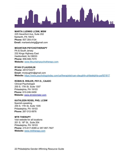

#### **MARTA LUDWIG LCSW, MSW**

225 Haverford Ave, Suite 202 Narberth, PA 19072 **Phone:** 607.354.4134 **Email:** martawludwig@gmail.com

#### **MOUNTAIN PSYCHOTHERAPY**

PA & South Jersey 232 Kings Highway East Haddonfield, NJ 08033 **Phone:** 856-946-7070 **Website:** [www.Mountainpsychotherapy.com](http://www.mountainpsychotherapy.com/) 

#### **RYAN O'LAUGHLIN**

**Phone:** 2672733377 **Email:** rmolaughlin@gmail.com **Website:** <https://www.psychologytoday.com/us/therapists/ryan-olaughlin-philadelphia-pa/921817>

#### **ROBIN B. RISLER, PSY.D., CAADC**

Clinical Psychologist 255 S. 17th St. Suite 1307 Philadelphia, PA 19103 **Phone:** 610-246-5459 **Website:** www.drrobinrisler.com

#### **KATHLEEN ROSS, PHD, LCSW**

Spanish-speaking 255 S. 17th St, Suite 1305 Philadelphia, PA 19103 **Phone:** 267-312-0676

#### **MTR THERAPY**

Visit website for all locations 201 S. 18th St., Suite 204 Philadelphia, PA 19103 **Phone:** 215-617-8389 or 267-997-7827 **Website:** [www.mtrtherapy.com](http://www.mtrtherapy.com/)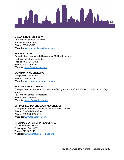

#### **MELANIE RYCHOK, LCSW**

1518 Walnut Street Suite 1404 Philadelphia, PA 19102 **Phone:** 267-603-3101 **Website:** [www.mrychokmsw@gmail.com](http://www.mrychokmsw@gmail.com) 

#### **SANARE TODAY**

Outpatient and Intensive MH programs. Multiple locations 1500 Walnut Street, Suite 603 Philadelphia, PA 19102 **Phone:** 610-344-9600 **Website:** [www.Sanaretoday,com](http://www.sanaretoday,com/) 

#### **SANCTUARY COUNSELING**

Douglasville/ Collegeville **Phone:**610-385-3155 **Website:** [www.Sanctuarycounseling.com](http://www.sanctuarycounseling.com/) 

#### **SPILOVE PSYCHOTHERAPY**

Therapy, Groups, Nutrition. No insurance/Sliding scale. In-office & Virtual. Location also in Bryn Mawr. 1601 Walnut Street, Philadelphia **Phone:** 484-784-6244 **Website:** [www.tiffanyspilove.com/](http://www.tiffanyspilove.com/)

#### **SPRINGFIELD PSYCHOLOGICAL SERVICES**

Therapy and Psychiatry. Multiple locations in PA and NJ **Phone:** 610-544-2110 (PA) **Phone:** 609-594-4900 (NJ) **Website:** [www.springpsych.com](http://www.springpsych.com/) 

#### **THERAPY CENTER OF PHILADELPHIA**

215 South Broad Street Philadelphia, PA 19107 **Phone:** 215-567-1111 **Website:** [www.therapycenterofphila.org](http://www.therapycenterofphila.org/)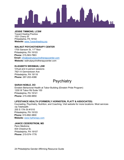

#### **JESSIE TIMMONS, LCSW**

Toward Healing Practice 1531 Cherry St Philadelphia, PA 19102 **Website:** [www.Towardhealing.org](http://www.towardhealing.org/) 

#### **WALNUT PSYCHOTHERAPY CENTER**

1700 Sansom St, 11<sup>th</sup> floor Philadelphia, PA 19103 **Phone:** 215-563-7863 **Email:** [info@walnutpsychotherapycenter.com](mailto:info@walnutpsychotherapycenter.com) **Website:** walnutpsychotherapycenter.com

#### **ELIZABETH WEISMAN, LSW**

Virtual and in-person sessions 7921-A Germantown Ave Philadelphia, PA 19118 **Phone:** 267-202-4386

### **Psychiatry**

#### <span id="page-27-0"></span>**SARAH NOBLE, DO**

Einstein Behavioral Health at Tabor Building (Einstein Pride Program) 1200 W Tabor Rd Suite 100 Philadelphia, PA 19141 **Phone:** 215-456-9850

#### **LIFESTANCE HEALTH (FORMERLY HORNSTEIN, PLATT & ASSOCIATES)**

Counseling, Psychiatry, Nutrition, and Coaching. Visit website for more locations. Most services via Telehealth 255 S 17th St #1010 Philadelphia, PA 19103 **Phone:** 610-892-3800 **Website:** [www.hptherapy.com](http://www.hptherapy.com/)

#### **JANICE CEDERSTROM, MD**

Penn Medicine 834 Chestnut St, Philadelphia, PA 19107 **Phone:** 215-574-1776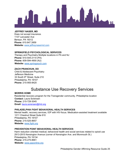

#### **JEFFREY NASER, MD**

Does not accept insurance. 1137 Lancaster Ave Berwyn, PA 19312 **Phone:** 610.647.3959 **Website:** [www.jeffreynasermd.com](http://www.jeffreynasermd.com/)

#### **SPRINGFIELD PSYCHOLOGICAL SERVICES**

Therapy and Psychiatry Multiple locations in PA and NJ **Phone:** 610-544-2110 (PA) **Phone:** 609-594-4900 (NJ) **Website:** [www.springpsych.com](http://www.springpsych.com/)

#### **ZACH PRANCKUN, DO**

Child & Adolescent Psychiatry Jefferson Medicine 33 South 9<sup>th</sup> Street, Suite 210 Philadelphia, PA 19107 **Phone:** 215-955-8420

### Substance Use Recovery Services

#### <span id="page-28-0"></span>**MORRIS HOME**

Residential recovery program for the Transgender community. Philadelphia location **Contact:** Laura Sorensen **Phone:** 215-729-3045 **Email:** laura.sorensen@rhd.org

#### **PHILADELPHIA FIGHT BEHAVIORAL HEALTH SERVICES**

Mental health, recovery services, IOP with HIV-focus. Medication-assisted treatment available 1211 Chestnut Street Suite 610 Philadelphia, PA 19107 **Phone:** 215-525-8657 **Website:** [www.fight.org](http://www.fight.org/) 

#### **PREVENTION POINT BEHAVIORAL HEALTH SERVICES**

Harm reduction oriented medical, behavioral health and social services related to opioid use 2913-2915 Kensington Avenue (corner of Kensington Ave. and Monmouth St.) Philadelphia, PA 19134 **Phone:** 215-275-8661 **Website:** [www.ppponline.org](http://www.ppponline.org/)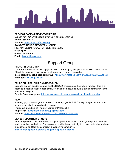

#### **PROJECT SAFE – PREVENTION POINT**

Support for T/GNC/NB people involved in street economies **Phone:** 866-509-7233 **Website:** [www.projectsafephilly.org](http://www.projectsafephilly.org/)  **RAINBOW HOUSE RECOVERY HOUSE** Recovery housing for LGBTQ+ adults in recovery

Philadelphia, PA **Phone:** 215-608-8637 **Email:** [tbuxton@snsinc.org](mailto:tbuxton@snsinc.org) 

### Support Groups

#### <span id="page-29-0"></span>**PFLAG PHILADELPHIA**

The PFLAG Philadelphia: Group gives LGBTQIA+ people, their parents, families, and allies in Philadelphia a space to discuss, meet, greet, and support each other.

**Info shared through Facebook group:** <https://www.facebook.com/groups/9080998529/about> **Website:** [www.pflagphila.org](http://www.pflagphila.org/) 

#### **PFLAG PHILADELPHIA RAINBOW CUBS**

Group to support gender creative and LGBTQIA+ children and their whole families. This is a space to meet and support each other, organize meetups, and build a strong community in the Philadelphia region.

**Private Facebook group:** <https://www.facebook.com/groups/philadelphiarainbowcubs>

#### **PLAY**

A weekly psychodrama group for trans, nonbinary, genderfluid, Two-spirit, agender and other gender expansive/non-conforming people.

Thursdays at 6:00pm at Therapy Center of Philadelphia **Register at** [PLAYpsychodramagroup@gmail.com](mailto:PLAYpsychodramagroup@gmail.com)  **Website:** [www.therapycenterofphila.org/psychotherapy-services](http://www.therapycenterofphila.org/psychotherapy-services) 

#### **GENDER SPECTRUM GROUPS**

Gender Spectrum hosts free online groups for pre-teens, teens, parents, caregivers, and other family members and adults. These groups provide the opportunity to connect with others, share experiences, and feel the comfort of a supportive community.

<https://genderspectrum.org/articles/gender-spectrum-groups>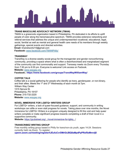

#### **TRANS MASCULINE ADVOCACY NETWORK (TMAN)**

TMAN is a grassroots organization based in Philadelphia, PA dedicated in its efforts to uplift people of color along the transmasculine spectrum. TMAN provides extensive networking and referral services that address the unique and underrepresented vocational, educational, legal, social, familial as well as mental and general health care needs of its members through weekly gatherings, special events and directed activities.

**Email:** tmanetwork215@gmail.com

**Facebook:** [www.facebook.com/TMANPhilly/](http://www.facebook.com/TMANPhilly/)

#### **TRANSWAY**

TransWay is a diverse weekly social group for the transgender and gender nonconforming community, providing a space where what is often a disenfranchised and marginalized segment of the community can find commonality and support. Transway meets via Zoom every Thursday from 7:30 pm to 9:30 pm. Everyone is welcome! Link access on Facbook.

**Website:** [www.waygay.org](http://www.waygay.org/) 

**Facebook.: [https://www.facebook.com/groups/TransWayWilliamWay/](https://www.facebook.com/groups/TransWayWilliamWay/?__cft__%5b0%5d=AZVUT3ViPoo2ftvXz1fuk7HHAS3z976y72korOA73-i2TK-NTOBTTkenj0JymPYBIOZgNigopx7mElfPYypIFWUYZ8gffrRm2ZLHwAzb-TVRP-tAvA180Jhk8nV1YFAkB2Y&__tn__=q)**

#### **COFFEE TALK**

Coffee talk is a social gathering for people who identify as trans, genderqueer, or non-binary, and their allies. Meets the  $1<sup>st</sup>$  and  $3<sup>rd</sup>$  Wednesday of each month at 7pm. William Way Center 1315 Spruce St. Philadelphia, PA 19107 **Phone:** 215-732-2220 **Website:** [www.waygay.org](http://www.waygay.org/) 

#### **NOVEL IMMERSIVE FOR LGBTQ+ WRITERS GROUP**

For LGBTQ+ writers, a lack of queer-focused guidance, support, and community in writing workshops can stifle or even stall progress for novels. Taking place over nine months, the Novel Immersive for LGBTQ+ Writers is a program uniquely designed to fill this void and help queer writers complete or make significant progress towards completing a draft of their novel in a supportive community.

**Website:** [https://grubstreet.org/.../novel-immersive-for-lgbtq.../](https://grubstreet.org/programs/intensives/immersives/novel-immersive-for-lgbtq-writers/?fbclid=IwAR2jKRxIX7UOsV7al_9f1QAzNEyu-IhpJafPWg9JysYJT1rIOGxlPM5P8Fs)

#### **TRANSCRIBEZ WRITING GROUP**

Free monthly writing group based in Philly for trans/non-cis youth, ages 14-24. Sessions currently held via Zoom. To register:

**[upenn.zoom.us/meeting/register/tJEufuCvrDMrGtJBQ8aMpdPpPRsf5sMmvtj8](https://l.instagram.com/?u=https%3A%2F%2Fupenn.zoom.us%2Fmeeting%2Fregister%2FtJEufuCvrDMrGtJBQ8aMpdPpPRsf5sMmvtj8&e=ATMkyf8AFCHsHcZ4YF2rYotbgM4Y8MqO0RZCRmQsG__R1c1zcoGhI3oMDdvEpaR1uLF1IM7oEUqTaE7N&s=1)**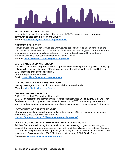

#### **BRADBURY-SULLIVAN CENTER**

Located in Allentown, Lehigh Valley, offering many LGBTQ+ focused support groups and community spaces both in-person and virtually. **Website:**[www.bradburysullivancenter.org/community](http://www.bradburysullivancenter.org/community) 

#### **FIREWEED COLLECTIVE**

Fireweed Collective Support Groups are unstructured spaces where folks can connect to and offer mutual aid with others who share similar life experiences and struggles. Groups meet once a week online for one hour. All support groups are free and are facilitated by members of Fireweed Collective. Particular focus for BIPOC and QTBIPOC **Website:** <https://fireweedcollective.org/support-groups/>

#### **LGBTQ CANCER SUPPORT GROUP**

The LGBT Cancer support group offers a supportive, confidential space for any LGBT identifying patients with a cancer diagnosis. Offered monthly through a virtual platform, it is facilitated by an LGBT identified oncology social worker.

**Contact Kayla at** 215-662-8785

**Email:** [Kayla.hilliard@pennmedicine.upenn.edu](mailto:Kayla.hilliard@pennmedicine.upenn.edu)

#### **LGBT EQUITY ALLIANCE CHESTER COUNTY**

Monthly meetings for youth, adults, and book club happening virtually **Website:** <https://lgbteachesco.org/monthly>

#### **OUR NEIGHBORHOOD GROUP**

7:00 - 8:00 pm, 2nd Wednesday of the month:

LGBTQ+ support meeting at Phoenixville Hospital. Medical Office Building 2 (MOB II), 3rd Floor. Conference room, through glass doors next to elevators. LGBTQ+ community members and family members engage in conversation and sharing experiences. Typical group is 7-10 people.

#### **LGBT CENTER OF GREATER READING**

Offers a wide variety of special groups and events to support LGBTQ+ community members, their families, and other allies. For more info: <https://m.facebook.com/theLGBTcenterofgreaterreading/events/>

#### **THE RAINBOW ROOM - PLANNED PARENTHOOD BUCKS COUNTY**

Rainbow Room is a welcoming, fun, educational and empowering program for lesbian, gay, bisexual, transgender, queer, questioning, plus youth, and their allies who are between the ages of 14 and 21. We provide a brave, supportive, welcoming and fun environment for education and advocacy. In Doylestown since 2002! Meetings on Wednesday 6:00-8:00 via Zoom **Facebook:** [www.facebook.com/pprainbowroom/](http://www.facebook.com/pprainbowroom/)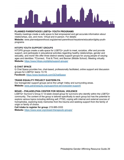

#### **PLANNED PARENTHOOD LGBTQ+ YOUTH PROGRAMS**

Weekly meetings create a safe space to feel empowered and get accurate information about relationships, sex, and more. Virtual and in-person. For details:

**Website:** [www.plannedparenthood.org/planned-parenthood-keystone/education/lgbtq-youth](http://www.plannedparenthood.org/planned-parenthood-keystone/education/lgbtq-youth-programs)[programs](http://www.plannedparenthood.org/planned-parenthood-keystone/education/lgbtq-youth-programs)

#### **HITOPS YOUTH SUPPORT GROUPS**

HiTOPS groups create a safe space for LGBTQ+ youth to meet, socialize, offer and provide support, and participate in educational activities regarding healthy relationships, gender and sexuality, and more! We offer three distinct weekly support groups for young people of varying ages and identities: TConnect, First & Third, and Banner (Middle School). Meeting virtually. **Website:** <https://www.hitops.org/lgbtq/support-groups/>

#### **Q CHAT SPACE**

Q Chat Space provides live, chat-based, professionally facilitated, online support and discussion groups for LGBTQ+ teens 13-19.

**Facebook:** <https://www.facebook.com/QChatSpace>

#### **TRANS EQUALITY PROJECT EASTERN PA**

Our transgender support groups serve the Lehigh Valley and surrounding areas. **Website:** [www.patransequity.org/supportive-services/peer-support/](http://www.patransequity.org/supportive-services/peer-support/)

#### **WOAR – PHILADELPHIA CENTER FOR SEXUAL VIOLENCE**

LGBTQ+ Survivor's Group A 12-week closed group for survivors who identify within the LGBTQ+ community. The content of the group is tailored specifically to each group but has the potential to explore various topics including defining self, PTSD, coping with internal and external sources of homophobia, exploring body memories from the trauma and seeking support from the family of origin or family of choice.

**Call intake to register for group:** 215-985-3333 **Website:** <https://www.woar.org/closed-therapeutic-groups/>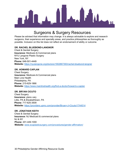

### Surgeons & Surgery Resources

<span id="page-33-0"></span>Please be advised that information may change. It is always advisable to explore and research surgeons, their experience and specialty areas, and practice philosophies as thoroughly as possible. Inclusion on this list does not reflect an endorsement of ability or outcome.

#### **DR. RACHEL BLUEBOND-LANGNOR**

Chest & Genital Surgery **Insurance:** Medicare & Commercial plans NYU Langone Plastic Surgery New York, NY **Phone:** 646-501-4449 **Website:** <https://nyulangone.org/doctors/1902867393/rachel-bluebond-langner>

#### **DR. HOWARD CAPLAN**

Chest Surgery **Insurance:** Medicare & Commercial plans Main Line Health Philadelphia, PA **Phone:** 215-629-1866 **Website:** <https://www.mainlinehealth.org/find-a-doctor/howard-s-caplan>

#### **DR. BRYAN CICUTO**

Chest Surgery **Insurance:** plans vary Lititz, PA & Elizabethtown, PA **Phone:** 717-625-3509 **Website:** <https://providers.upmc.com/provider/Bryan+J+Cicuto/1744514>

#### **DR. JONATHAN KEITH**

Chest & Genital Surgery **Insurance:** NJ Medicaid & commercial plans NJ & NY **Phone:** 201-449-1000 **Website:** [www.ecaplasticsurgery.com/procedures/gender-affirmation/](http://www.ecaplasticsurgery.com/procedures/gender-affirmation/)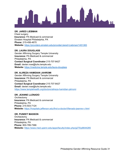

#### **DR. JARED LIEBMAN**

Chest surgery **Insurance:** PA Medicaid & commercial Einstein Hospital Philadelphia, PA **Phone:** 215-456-4670 **Website:** <https://providers.einstein.edu/provider/Jared+Liebman/1451383>

#### **DR. LAURA DOUGLASS**

Gender Affirming Surgery Temple University **Insurance:** PA Medicaid & commercial Philadelphia, PA **Contact Surgical Coordinator** 215-707-8427 **Email:** dexter.rose@tuhs.temple.edu **Website:** <https://medicine.temple.edu/laura-douglass>

#### **DR. ALIREZA HAMIDIAN JAHROMI**

Gender Affirming Surgery Temple University **Insurance:** PA Medicaid & commercial Philadelphia, PA **Contact Surgical Coordinator** 215-707-8427 **Email:** dexter.rose@tuhs.temple.edu <https://www.templehealth.org/doctors/alireza-hamidian-jahromi>

#### **DR. JEANNE LLENADO**

**Orchiectomy Insurance:** PA Medicaid & commercial Philadelphia, PA **Phone:** 215-503-7124 **Website:** <https://hospitals.jefferson.edu/find-a-doctor/l/llenado-jeanne-v.html>

### **DR. PUNEET MASSON**

**Orchiectomy Insurance:** PA Medicaid & commercial Philadelphia, PA **Phone:** 800-789-7366 **Website:** <https://www.med.upenn.edu/apps/faculty/index.php/g275/p8644285>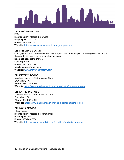

**DR. PHUONG NGUYEN**  FFS **Insurance:** PA Medicaid & private Philadelphia, PA & NY **Phone:** 215-590-1527 **Website:** <https://www.md.com/doctor/phuong-d-nguyen-md>

#### **DR. CHRISTINE MCGINN**

Chest, genital, FFS, tracheal shave. Electrolysis, hormone therapy, counseling services, voice therapy, fertility services, and nutrition services. **Does not accept Insurance**  New Hope, PA **Phone:** 215.693.1199 papilloncenter@gmail.com **Website:** [www.drchristinemcginn.com](http://www.drchristinemcginn.com/) 

#### **DR. KATELYN BEGGS**

Mainline Health LGBTQ Inclusive Care Bryn Mawr, PA **Phone:** 484-337-5250 **Website:** <https://www.mainlinehealth.org/find-a-doctor/katelyn-m-beggs>

#### **DR. KATHERINE ROSE**

Mainline Health LGBTQ Inclusive Care Bryn Mawr, PA **Phone:** 484-337-5250 **Website:** <https://www.mainlinehealth.org/find-a-doctor/katherine-rose>

#### **DR. IVONA PERCEC**

Chest surgery **Insurance:** PA Medicaid & commercial Philadelphia, PA **Phone:** 800-789-7366 **Website:** <https://www.pennmedicine.org/providers/profile/ivona-percec>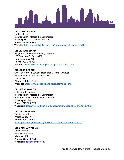

#### **DR. SCOTT RICHARD**

Hysterectomy **Insurance:** PA Medicaid & Commercial Philadelphia, PA & Phoenixville, PA **Phone:** 215-955-6200 **Website:** <https://hospitals.jefferson.edu/find-a-doctor/r/richard-scott-d.html>

#### **DR. JEREMY SINKIN**

Rutgers RWJ Gender Affirming Surgery 125 Paterson St, Suite 4100 New Brunswick, NJ **Phone:** 732-235-7863 **Website:** <https://www.rwjbh.org/doctors/jeremy-c-sinkin-md/>

#### **DR. JULIA SPEARS**

Chest Surgery, FFS, Consultation for Silicone Removal **Insurance:** Commercial plans only Marlton, NJ **Phone:** 856-345-2240 **Website:** <https://www.metropolitanplastics.com/index.php>

#### **DR. JESSE TAYLOR**

FFS, Facial Contouring **Insurance:** PA Medicaid & Commercial Perelman Center for Advanced Medicine Philadelphia, PA **Phone:** 215-590-2208 **Website:** <https://www.med.upenn.edu/apps/faculty/index.php/g275/p8408486>

#### **DR. JACOB BABER**

Geisinger Urology Wilkes Barre, PA **Phone:** 800-275-6401 <https://providers.geisinger.org/provider/Jacob+Adam+Baber/776042>

#### **DR. SAMINA WAHHAB**

Chest surgery **Insurance:** Inquire Allentown, PA **Phone:** 610-770-7676 **Website:** <http://drwahhab.com/>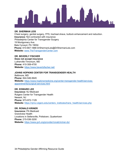

#### **DR. SHERMAN LEIS**

Chest surgery, genital surgery, FFS, tracheal shave, buttock enhancement and reduction. **Insurance:** Not contracted with insurance Philadelphia Center for Transgender Surgery 19 Montgomery Ave. Bala Cynwyd, PA 19004 **Phone:** 610-667-1888 DrShermanLeis@DrShermanLeis.com **Website:** [www.TheTransgenderCenter.com](http://www.thetransgendercenter.com/) 

#### **DR. BEVERLY FISCHER**

**Does not accept insurance** Lutherville-Timonium, MD **Phone:** 410-308-4700 **Website:** <https://www.beverlyfischer.net/>

#### **JOHNS HOPKINS CENTER FOR TRANSGENDER HEALTH**

Baltimore, MD **Phone:** 844-546-5645 **Website:** [https://www.hopkinsmedicine.org/center-transgender-health/services](https://www.hopkinsmedicine.org/center-transgender-health/services-appointments/surgical-services.html)[appointments/surgical-services.html](https://www.hopkinsmedicine.org/center-transgender-health/services-appointments/surgical-services.html) 

#### **DR. EDWARD LEE**

**Insurance:** NJ Medicaid Rutgers Center for Transgender Health Newark, NJ **Phone:** 973-972-1129 Website: https://njms.rutgers.edu/centers\_institutes/trans\_health/services.php

#### **DR. RONALD KRINER**

**Insurance:** PA Medicaid Grandview Health Locations in Sellersville, Pottstown, Quakertown **Phone:** 215-536-3200 **Website:** <https://www.gvh.org/provider/ronald-kriner-do/>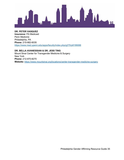

**DR. PETER VASQUEZ Insurance:** PA Medicaid Penn Medicine Philadelphia, PA **Phone:** 215-662-6035 <https://www.med.upenn.edu/apps/faculty/index.php/g275/p8199088>

**DR. BELLA AVANESSIAN & DR. JESS TING**  Mount Sinai Center for Transgender Medicine & Surgery New York **Phone:** 212-870-8270 **Website:** <https://www.mountsinai.org/locations/center-transgender-medicine-surgery>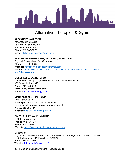

### Alternative Therapies & Gyms

#### <span id="page-39-0"></span>**ALEXANDER JAMIESON**

Advanced Chiropractic 1518 Walnut St, Suite 1206 Philadelphia, PA 19102 **Phone:** 215-545-5117 **Email:** [phillychiroadvanced@gmail.com](mailto:phillychiroadvanced@gmail.com) 

#### **ALEXANDRA BERTUCCI PT, DPT, PRPC, AASECT CSC**

Physical Therapist and Sex Counselor **Phone:** 267-702-4828 **Website:** [pelvicfloorsexcounseling@gmail.com](mailto:pelvicfloorsexcounseling@gmail.com) **Website:** [https://www.conciergeortho.co/team/alexandra-bertucci%2C-pt%2C-dpt%2C](https://www.conciergeortho.co/team/alexandra-bertucci%2C-pt%2C-dpt%2C-prpc%2C-aasect-csc)[prpc%2C-aasect-csc](https://www.conciergeortho.co/team/alexandra-bertucci%2C-pt%2C-dpt%2C-prpc%2C-aasect-csc) 

#### **MOLLY KELLOGG, RD, LCSW**

Nutrition services by a registered dietician and licensed nutritionist. 520 Carpenter Lane, #3H **Phone:** 215-843-8258 **Email:** molly@mollykellogg.com **Website:** [www.mollykellogg.com](http://www.mollykellogg.com/) 

#### **OPTIMAL SPORT 1315 – GYM**

1315 Walnut Street Philadelphia, PA & South Jersey locations Locker room is transwomen and transmen friendly. **Phone:** 215-735-1114 **Website:** <http://www.optimalgym.com/>

#### **SOUTH PHILLY ACUPUNCTURE**

1532 E. Passyunk Ave. Philadelphia, PA 19147 **Phone:** 215-279-3932 **Website:** <https://www.southphillyacupuncture.com/>

#### **STUDIO 34**

Yoga studio that offers a trans and queer class on Saturdays from 2:00PM to 3:15PM. 4522 Baltimore Ave. Philadelphia, PA 19143 **Phone:** 215-387-3434 **Website:** <http://studio34yoga.com/>

36 Philadelphia Gender Affirming Resource Guide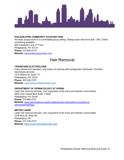

#### **PHILADELPHIA COMMUNITY ACUPUNCTURE**

Provides acupuncture in a comfortable group setting. Sliding scale rates from \$20 - \$40. Online scheduling available. 602 Carpenter Lane 2nd Floor Philadelphia, PA 19119 **Phone:** 215-844-2774 **Website:** [www.phillyacupuncture.com](http://www.phillyacupuncture.com/) 

### Hair Removal

#### <span id="page-40-0"></span>**TRANSCEND ELECTROLOSIS**

Trans owned and operated, long history of working with transgender individuals. Provides electrolysis services. 1315 Walnut St. Suite 717 Philadelphia, PA 19107 **Phone:** 267-225-7275 **Website:** [www.transcendelectrolysis.com/](http://www.transcendelectrolysis.com/) 

#### **DEPARTMENT OF DERMATOLOGY AT UPENN**

Laser hair removal services. Very supportive of the trans and intersex communities. 3400 Civic Center Blvd Suite 1-330S Philadelphia, PA 19104 **Phone:** [215-662-2737](https://www.google.com/search?channel=cus5&client=firefox-b-1-d&q=Department+of+Dermatology+at+UPenn) **Website:** [www.pennmedicine.org/for-patients-and-visitors/find-a-program-or](http://www.pennmedicine.org/for-patients-and-visitors/find-a-program-or-service/dermatology)[service/dermatology](http://www.pennmedicine.org/for-patients-and-visitors/find-a-program-or-service/dermatology) 

#### **METRO LASER**

Laser hair removal services. Very supportive of the trans and intersex communities. 1216 Arch St, Suite 3B Philadelphia, PA **Phone:** 215-735-2737 **Website:** <https://www.metrolaserphilly.com/>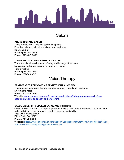

### Salons

#### <span id="page-41-0"></span>**ANDRÉ RICHARD SALON**

Trans friendly with 3 levels of payments options. Provides haircuts, hair color, makeup, and eyebrows. 30 Chestnut St Philadelphia, PA 19106 **Phone:** 646-437- 8695

#### **LOTUS PHILADELPHIA ESTHETIC CENTER**

Trans friendly full service salon offering a wide range of services Manicures, pedicures, waxing, hair and spa services 1240 South St. Philadelphia, PA 19147 **Phone:** 267-886-9017

### Voice Therapy

#### <span id="page-41-1"></span>**PENN CENTER FOR VOICE AT PENNSYLVANIA HOSPITAL**

Treatment includes voice therapy and phonosurgery, including thyroplasty. Dr. Natasha Mirza **Phone:** 800-789-7366 **Website:** [www.pennmedicine.org/for-patients-and-visitors/find-a-program-or-service/ear](http://www.pennmedicine.org/for-patients-and-visitors/find-a-program-or-service/ear-nose-and-throat/voice-speech-and-swallowing)[nose-andthroat/voice-speech-and-swallowing](http://www.pennmedicine.org/for-patients-and-visitors/find-a-program-or-service/ear-nose-and-throat/voice-speech-and-swallowing)

#### **SALUS UNIVERSITY SPEECH-LANGUAGE INSTITUTE**

Offers "Raise Your Voice", a support group addressing transgender voice and communication skills. Individual voice therapy is provided based on availability. 8380 Old York Rd. #2100 Elkins Park, PA 19027 **Phone:** 215-780-3150 **Website:** [https://www.salusuhealth.com/Speech-Language-Institute/News/News-Stories/Raise-](https://www.salusuhealth.com/Speech-Language-Institute/News/News-Stories/Raise-Your-Voice-Facilitating-Transgender-Voice.aspx)[Your-Voice-Facilitating-Transgender-Voice.aspx](https://www.salusuhealth.com/Speech-Language-Institute/News/News-Stories/Raise-Your-Voice-Facilitating-Transgender-Voice.aspx)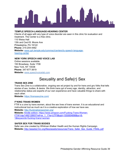

#### **TEMPLE SPEECH-LANGUAGE-HEARING CENTER**

Clients of all ages with any type of voice disorder are seen in this clinic for evaluation and treatment. The Center is a free clinic. 110 Weiss Hall 13th and Cecil B. Moore Ave Philadelphia, PA 19122 **Phone:** 215-204-4482 **Website:** [www.cph.temple.edu/commsci/centers/tu-speech-language](http://www.cph.temple.edu/commsci/centers/tu-speech-language-hearing-center)[hearing-center](http://www.cph.temple.edu/commsci/centers/tu-speech-language-hearing-center)

#### **NEW YORK SPEECH AND VOICE LAB**

Online sessions available. 150 Broadway, Suite 1708 New York, NY 10038 **Phone:** 347-677-3619 **Website:** www.speechvoicelab.com

### Sexuality and Safe(r) Sex

#### <span id="page-42-0"></span>**TRANS SEX ZINE**

Trans Sex Zine is a collaborative, ongoing sex ed project by and for trans and gnc folks that tells stories of sex, bodies, & desire. We think trans ppl of every age, identity, attraction, and relationship status are experts of our own experience and have valuable things to share with each other.

**Website:** <https://transsexzine.com/>

#### **F\*KING TRANS WOMEN**

FTW is a zine by trans women, about the sex lives of trans women. It is an educational and instructional tool as much as it is a creative exploration of how we have sex. **Website:** <http://fuckingtranswomen.org/>

**Website:** Kindle edition: https://www.amazon.com/Fucking-Trans-Women-FTW1/dp/1492128937/ref=sr\_1\_1?ie=UTF8&qid=1550854898&sr=8- 1&keywords=fucking+trans+women

#### **SAFER SEX FOR TRANS BODIES**

Safer sex zine created by Whitman-Walker Health and the Human Rights Campaign. **Website:** [http://assets2.hrc.org/files/assets/resources/Trans\\_Safer\\_Sex\\_Guide\\_FINAL.pdf](http://assets2.hrc.org/files/assets/resources/Trans_Safer_Sex_Guide_FINAL.pdf)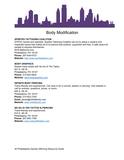

### Body Modification

#### <span id="page-43-0"></span>**SPIRITED TATTOOING COALITION**

QTPOC owned and operated. Spirited Tattooing Coalition set out to adopt a creative and respectful space that makes all of its patrons feel positive, supported and free. A safe space for people to express themselves.

4918 Baltimore Ave Philadelphia, PA 19143 **Phone:** 267-634-6723 **Website:** [http://www.spiritedtattoo.com](http://www.spiritedtattoo.com/) 

#### **BODY GRAPHICS**

Shares many artists with No Ka Oi Tiki Tattoo 627 S. 4th St. Philadelphia, PA 19147 **Phone:** 215-923-5834 **Website:** [www.bodygraphics.com](http://www.bodygraphics.com/) 

#### **INFINITE BODY PIERCING**

Trans-friendly and experienced. Can drop in for a consult, jewelry or piercing, Visit website or call for policies, questions, prices, or hours. 626 S. 4th St. Philadelphia, PA 19147 **Phone:** 215-923-7335 **Email:** james@infinitebody.com **Website:** [www.infinitebody.com](http://www.infinitebody.com/)

#### **NO KA OI TIKI TATTOO & PIERCING**

Trans-friendly and experienced. 610 S. 4th St. Philadelphia, PA 19147 **Phone:** 267-925-1766 **Website:** [www.nokaoitikitattoo.com](http://www.nokaoitikitattoo.com/)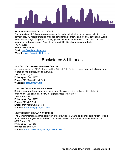

#### **SAULER INSTITUTE OF TATTOOING**

Sauler Institute of Tattooing provides cosmetic and medical tattooing services including scar camouflage, 3D nipple tattooing after gender affirming surgery, and medical conditions. Works with a broad range of ages, skin types, gender identities, and medical conditions. Can use insurance for breast cancer. Apply to be a model for \$50. More info on website. PA, NJ & NY **Phone:** 484-883-6827 **Email:** [info@saulerinstitute.com](mailto:info@saulerinstitute.com) **Website:** [www.Saulerinstitute.com](http://www.saulerinstitute.com/) 

### Bookstores & Libraries

#### <span id="page-44-0"></span>**THE CRITICAL PATH LEARNING CENTER**

An expansion of the AIDS Library and the Critical Path Project. Has a large collection of transrelated books, articles, media & DVDs. 1233 Locust St, 2<sup>nd</sup> fl Philadelphia, PA 19107 **Phone:** 215.985.4418 ext. 140 **Website:** [https://critpath.org](https://critpath.org/) 

#### **LGBT ARCHIVES AT WILLIAM WAY**

Building is currently undergoing renovations. Physical archives not available while this is ongoing but you can email below for digital access to archives. 1315 Spruce St. Philadelphia, PA 19107 **Phone:** 215-732-2220 **Email:** archives@waygay.org **Website:** [www.waygay.org/archives](http://www.waygay.org/archives) 

#### **LGBT CENTER LIBRARY AT UPENN**

The Center maintains a large collection of books, videos, DVDs, and periodicals written for and about sexual and gender minorities. You do not have to be a student to use this resource. 3907 Spruce St. Philadelphia, PA 19104 **Phone:** 215-898-5044 **Website:** <https://www.librarycat.org/lib/PennLGBTC>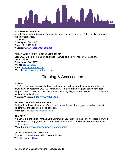

#### **WOODEN SHOE BOOKS**

Anarchist and radical literature. Can special order books if requested. Offers public computers with internet access. 704 South St. Philadelphia, PA 19147 **Phone:** 215-413-0999 **Website:** [www.woodenshoebooks.org](http://www.woodenshoebooks.org/)

#### **PHILLY AIDS THRIFT @ GIOVANNI'S ROOM**

Sells LGBTQ books—both new and used—as well as clothing, housewares and art. 345 S. 12<sup>th</sup> St. Philadelphia, PA 19107 **Phone:** [215 923-2960](tel:215-923-2960)  **Email:** [info@queerbooks.com](mailto:info@queerbooks.com) **Website:** [https://www.queerbooks.com](https://www.queerbooks.com/) 

### Clothing & Accessories

#### <span id="page-45-0"></span>**FLAVNT**

FLAVNT Streetwear is an Austin-based independent clothing brand for everyone within and anyone who supports the LGBTQ+ community. We are a brand by queer people for queer people. We don't believe in men's or women's clothing, we just make clothes that promote selfconfidence and self-love.

**Website: Website:** <https://www.flavnt.com/>

#### **BIG BROTHER BINDER PROGRAM**

Designed for those who cannot afford to purchase a binder, this program provides low-cost binders that are used but in good condition.

**Website:** www.thetransitionalmale.com

#### **IN A BIND**

In a BIND is a project of TransActive's Community Education Program. They collect pre-owned chest binders from guys who don't need them anymore and donate them to trans-masculine youth in need.

**Website:** <http://www.transactiveonline.org/inabind>

#### **GC2B TRANSITIONAL APPAREL**

Popular company through which to order binders. **Website:** [www.gc2b.co/](http://www.gc2b.co/)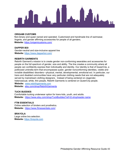

#### **ORIGAMI CUSTOMS**

Non-binary and queer owned and operated. Customized and handmade line of swimwear, lingerie, and gender affirming accessories for people of all genders. **Website:** <https://origamicustoms.com/>

#### **DAPPER BOI**

Gender-neutral and size-inclusive apparel line **Website:** <https://www.dapperboi.com/>

#### **REBIRTH GARMENTS**

Rebirth Garment's mission is to create gender non-conforming wearables and accessories for people on the full spectrum of gender, size and ability. The line creates a community where all people can confidently express their individuality and identity. Our identity is that of QueerCrip, a politicized umbrella term that encompasses queer, gender nonconforming identities, visible and invisible disabilities/ disorders—physical, mental, developmental, emotional ect. In particular, our trans and disabled communities have very particular clothing needs that are not adequately served by mainstream clothing designers. Instead of being centered on cisgender, heterosexual, white, thin people, Rebirth Garments is centered on QueerCrip people.

**Website:** [www.rebirthgarments.com](http://www.rebirthgarments.com/)  **Website:** [etsy.com/shop/RebirthGarments](http://etsy.com/shop/RebirthGarments)

#### **TUCK BUDDIES**

Comfortable tucking underwear option for trans kids, youth, and adults. **Website:** <https://www.etsy.com/shop/TuckBuddies?ref=l2-shopheader-name>

#### **FTM ESSENTIALS**

Online selection of binders and prosthetics. **Website:** <https://www.ftmessentials.com/>

#### **BRAYOLA**

Large online bra selection. **Website:** [https://brayola.com](https://brayola.com/)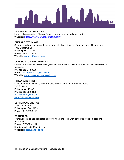

#### **THE BREAST FORM STORE**

Large online selection of breast forms, undergarments, and accessories. **Website:** <https://www.thebreastformstore.com/>

#### **BUFFALO EXCHANGE**

Second-hand and vintage clothes, shoes, hats, bags, jewelry. Gender-neutral fitting rooms. 1713 Chestnut St. Philadelphia, PA 19103 **Phone:** 215-557-9850 **Website:** [www.buffaloexchange.com](http://www.buffaloexchange.com/)

#### **CLASSIC PLUS SIZE JEWELRY**

Online store that specializes in larger-sized fine jewelry. Call for information, help with sizes or selection. **Phone:** 215-943-9090 **Email:** [classicplus2001@verizon.net](mailto:classicplus2001@verizon.net) **Website:** [www.classicplussizejewelry.com](http://www.classicplussizejewelry.com/) 

#### **PHILLY AIDS THRIFT**

Discounted used clothing, furniture, electronics, and other interesting items. 710 S. 5th St. Philadelphia, 19147 **Phone:** 215-922-3186 [phillyaidsthrift@aol.com](mailto:phillyaidsthrift@aol.com) [https://phillyaidsthrift.com](https://phillyaidsthrift.com/) 

#### **SEPHORA COSMETICS**

1714 Chestnut St. Philadelphia, PA 19103 **Phone:** 215-563-6112

#### **TRANSKIDS**

TransKids is a space dedicated to providing young folks with gender expression gear and resources. **Phone:** 773-271-1291 **Email:** transkidsbiz@gmail.com **Website:** [https://transkids.biz](https://transkids.biz/)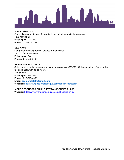

#### **MAC COSMETICS**

Can make an appointment for a private consultation/application session. 1300 Market St. Philadelphia, PA 19107 **Phone:** 215-241-1199

#### **OLD NAVY**

Non-gendered fitting rooms. Clothes in many sizes. 1851 S. Columbus Blvd Philadelphia, PA **Phone:** 215-586-3107

#### **PASSIONAL BOUTIQUE**

Selection of corsets, costumes, kilts and fashions sizes XS-8XL. Online selection of prosthetics, tucking underwear, and binders. 317 South St Philadelphia, PA 19147

**Phone:** 215-829-4986 **Email: [passionalstaff@gmail.com](mailto:passionalstaff@gmail.com) Website:** <http://www.passionalboutique.com/gender-expression>

#### **MORE RESOURCES ONLINE AT TRANSGENDER PULSE**

**Website:** <https://www.transgenderpulse.com/shopping-links/>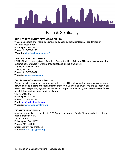

### Faith & Spirituality

#### <span id="page-49-0"></span>**ARCH STREET UNITED METHODIST CHURCH**

Welcomes people of all racial backgrounds, gender, sexual orientation or gender identity. 55 North Broad Street Philadelphia, PA 19107 **Phone:** 215-568-6250 **Website:** <https://archstreetumc.org/>

#### **CENTRAL BAPTIST CHURCH**

LGBT affirming congregation in American Baptist tradition. Rainbow Alliance mission group that explores gender diversity within a theological and biblical framework. 106 West Lancaster Ave. Wayne, PA 19087 **Phone:** 610-688-0664 **Website:** [www.cbcwayne.org](http://www.cbcwayne.org/)

#### **CONGREGATION RODEPH SHALOM**

Our vision is to awaken our human spirit to the possibilities within and between us. We welcome all who come to explore or deepen their connection to Judaism and God. We find strength in our diversity of perspective, age, gender identity and expression, ethnicity, sexual orientation, family constellation, and socio-economic background. 615 N. Broad St.

Philadelphia, PA 19123 **Phone:** 215-617-6747 **Email:** info@rodephshalom.org **Website:** [www.rodephshalom.org](http://www.rodephshalom.org/) 

#### **DIGNITY PHILADELPHIA**

A caring, supportive community of LGBT Catholic, along with family, friends, and allies. Liturgy each Sunday at 7PM. 330 S. 13th St. Philadelphia, PA 19107 **Phone:** 215.546.2093 **Email:** DignityPhila@aol.com **Website:** [www.dignityphila.org](http://www.dignityphila.org/)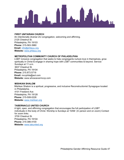

#### **FIRST UNITARIAN CHURCH**

An intentionally diverse UU congregation, welcoming and affirming. 2125 Chestnut St. Philadelphia, PA 19103 **Phone:** 215-563-3980 **Email:** [info@philauu.org](mailto:info@philauu.org)  **Website:** [www.philauu.org](http://www.philauu.org/)

#### **METROPOLITAN COMMUNITY CHURCH OF PHILADELPHIA**

LGBT inclusive congregation that seeks to help congregants nurture love in themselves, grow spiritually in Christ & engage in sharing hope with LGBT communities & beyond. Service Sundays at 11 a.m. 3637 Chestnut St. Philadelphia, PA 19104 **Phone:** 215.873.5719 **Email:** mccphila@aol.com **Website:** www.whosoevermccp.com

#### **MISHKAN SHALOM**

Mishkan Shalom is a spiritual, progressive, and inclusive Reconstructionist Synagogue located in Philadelphia. 4101 Freeland Ave Philadelphia, PA 19128 **Phone:** 215-508-0226 **Website:** [www.mishkan.org](http://www.mishkan.org/)

#### **TABERNACLE UNITED CHURCH**

A light, open, and affirming congregation that encourages the full participation of LGBT individuals in the body of Christ. Worship is Sundays at 10AM (In person and on zoom) Contact for zoom links. 3700 Chestnut St. Philadelphia, PA 19104 **Phone:** 215-386-4100 **Website:** [www.tabunited.org](http://www.tabunited.org/)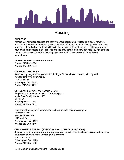

### **Housing**

#### <span id="page-51-0"></span>**SHELTERS**

At this time, homeless services are heavily gender segregated. Philadelphia does, however, have the Fair Practices Ordinance, which mandates that individuals accessing shelter services have the right to be housed in a facility with the gender that they identify as. Ultimately you are your own best advocate in this process and the providers listed below can help you navigate the system. We have included the following agencies, which have demonstrated LGBTQ competence:

#### **24-Hour Homeless Outreach Hotline:**

**Phone:** 215-232-1984 **Phone:** 877-222-1984

#### **COVENANT HOUSE PA**

Services to young adults ages18-24 including a 51 bed shelter, transitional living and independent living apartments.

31 E. Armat St. Philadelphia, Pa 19144 **Phone:** 215-951-5411

#### **OFFICE OF SUPPORTIVE HOUSING (OSH)**

Single women and women with children can go to: Apple Tree Family Center 1430 Cherry St. Philadelphia, PA 19107 **Phone:** 215-686-7150

Emergency housing for single women and women with children can go to: Salvation Army Eliza Shirley House 1320 Arch St. Philadelphia, PA 19107 **Phone:** 215-568-5111

#### **OUR BROTHER'S PLACE (A PROGRAM OF BETHESDA PROJECT)**

Services to men, however many transwomen have reported that this facility is safe and that they have received good services through this program*.*  907 Hamilton St. Philadelphia, PA 19123 **Phone:** 215-985-1600

48 Philadelphia Gender Affirming Resource Guide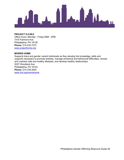

#### **PROJECT H.O.M.E**

Office hours: Monday - Friday 8AM - 4PM 1515 Fairmont Ave Philadelphia, PA 19130 **Phone:** 215-232-7272 [www.projecthome.org](http://www.projecthome.org/)

#### **MORRIS HOME**

Supports trans and gender variant individuals as they develop the knowledge, skills and supports necessary to promote sobriety, manage emotional and behavioral difficulties, choose and maintain safe and healthy lifestyles, and develop healthy relationships. 5037 Woodland Ave Philadelphia, PA 19143 **Phone:** 215-729-3045 [www.rhd.org/m](http://www.rhd.org/)orrishome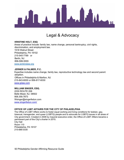

### <span id="page-53-0"></span>Legal & Advocacy

#### **KRISTINE HOLT, ESQ**

Areas of practice include: family law, name change, personal bankruptcy, civil rights, discrimination, and employment law. 1518 Walnut Street Philadelphia, PA 19102 215-545-7789 or Berlin, NJ 856-599-5555 [www.jenkinslaw.org](http://www.jenkinslaw.org/)

#### **JERNER & PALMER, P.C.**

Expertise includes name change, family law, reproductive technology law and second parent adoption. Offices in Philadelphia & Marlton, NJ 215-843-6000 or 856-817-6030 [www.jplaw.com](http://www.jplaw.com/) 

#### **WILLIAM SINGER, ESQ.**

2230 ROUTE 206 Belle Mead, NJ. 08502 908.359.7873 Wsinger@singerfedun.com [www.singerfedun.com/](http://www.singerfedun.com/)

#### **OFFICE OF LGBT AFFAIRS FOR THE CITY OF PHILADELPHIA**

The Office of LGBT Affairs works to foster equal working and living conditions for lesbian, gay, bisexual, transgender, and queer (LGBTQ) people and to advocate for LGBTQ issues in all areas of City government. Created in 2008 by mayoral executive order, the Office of LGBT Affairs became a permanent part of the City's charter in 2015. City Hall Room 110 Philadelphia, PA 19107 215-686-0330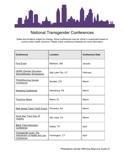

### National Transgender Conferences

<span id="page-54-0"></span>Dates and locations subject to change. Some conferences may be virtual or suspended based on current public health concerns. Please check conference websites for more information.

| <b>Conference</b>                                                             | <b>Location</b>    | <b>Conference Date</b> |
|-------------------------------------------------------------------------------|--------------------|------------------------|
| <b>First Event</b>                                                            | Marlboro, MA       | January                |
| <b>GEMS (Gender Education</b><br>Demystification Symposium)                   | Salt Lake City, UT | February               |
| <b>TRANSforming Gender</b><br>Conference                                      | Boulder, CO        | March                  |
| <b>Keystone Conference</b>                                                    | Harrisburg, PA     | March                  |
| <b>TransCon Miami</b>                                                         | Miami, FL          | March                  |
| <b>New Jersey Trans Youth Forum</b>                                           | Princeton, NJ      | March                  |
| <b>South Bay Trans Day Of</b><br><b>Visibility</b>                            | San Jose, CA       | March                  |
| <b>Black Trans Advocacy</b><br>Conference                                     | Dallas, TX         | April                  |
| <b>Transgender Lives: The</b><br>Intersection of Health and Law<br>Conference | Farmington, CT     | April                  |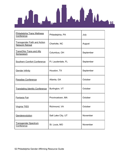

| <b>Philadelphia Trans Wellness</b><br>Conference              | Philadelphia, PA   | July      |
|---------------------------------------------------------------|--------------------|-----------|
| <b>Transgender Faith and Action</b><br><b>Network Retreat</b> | Charlotte, NC      | August    |
| <b>TransOhio Trans and Ally</b><br>Symposium                  | Columbus, OH       | September |
| <b>Southern Comfort Conference</b>                            | Ft. Lauderdale, FL | September |
| <b>Gender Infinity</b>                                        | Houston, TX        | September |
| Paradise Conference                                           | Atlanta, GA        | October   |
| <b>Translating Identity Conference</b>                        | Burlington, VT     | October   |
| <b>Fantasia Fair</b>                                          | Provincetown, MA   | October   |
| Virginia TIES                                                 | Richmond, VA       | October   |
| Genderevolution                                               | Salt Lake City, UT | November  |
| <b>Transgender Spectrum</b><br>Conference                     | St. Louis, MO      | November  |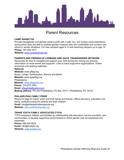

### Parent Resources

#### <span id="page-56-0"></span>**CAMP ARANU'TIQ**

Provide transgender and gender-variant youth with a safe, fun, and unique camp experience during which they are able to express gender however they are comfortable and connect with others in similar situations. For new campers ages 8-13 and returning campers up to age 15. **Phone:** [781-400-1617](tel:+17814001617) 

**Website:** www.camparanutiq.org

#### **PARENTS AND FRIENDS OF LESBIANS AND GAYS, TRANSGENDER NETWORK**

Resources for how to navigate and support your child during the coming out process. Information on local events and supports. Links to trans-supportive organizations. Online brochures and reading materials.

#### **National:**

**Website:** www.pflag.org Bucks, Lehigh, Northampton, Monroe and Berks: **Website:** www.epapflag.org Philadelphia: **Website:** [www.pflagphila.org](http://www.pflagphila.org/)  **Phone:** 215-572-1833 **Email:** pflagphila@yahoo.com **Mailing address:** PFLAG Philadelphia, PO Box 15711, Philadelphia, PA 19103

#### **PHILADELPHIA FAMILY PRIDE**

Resource page for trans\* youth and their family and friends. Offers advocacy, education and family centered events for parents and their children. **Email:** info@philadelphiafamilypride.org **Website:** [www.phillyfamilypride.org](http://www.phillyfamilypride.org/) 

#### **TRANS YOUTH FAMILY ADVOCATES (TYFA)**

TYFA empowers children and families by collaborating with educators, service providers, and communities, to develop supportive environments in which gender may be expressed and respected.

**Phone:** 888.462.8932 **Email:** info@imatyfa.org **Website:** [www.imatyfa.org](http://www.imatyfa.org/)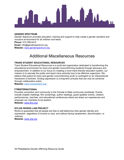

#### **GENDER SPECTRUM**

Gender Spectrum provides education, training and support to help create a gender sensitive and inclusive environment for all children and teens. **Phone:** 510.788.4412 **Email:** info@genderspectrum.org **Website:** www.genderspectrum.org

### Additional Miscellaneous Resources

#### <span id="page-57-0"></span>**TRANS STUDENT EDUCATIONAL RESOURCES**

Trans Student Educational Resources is a youth-led organization dedicated to transforming the educational environment for trans and gender nonconforming students through advocacy and empowerment. In addition to our focus on creating a more trans-friendly education system, our mission is to educate the public and teach trans activists how to be effective organizers. We believe that justice for trans and gender nonconforming youth is contingent on an intersectional framework of activism. Ending oppression is a long-term process that can only be achieved through collaborative action.

**Website:** [www.transstudent.org/](http://www.transstudent.org/)

#### **FTMINTERNATIONAL**

Provides connection and community to the Female to Male community worldwide. Events include chapter meetings, film screenings, author readings, guest speaker events, creative performances, marches, and educational conferences where we share our experiences and empower our members to be leaders.

**Website:** www.ftmi.org/

#### **SYLVIA RIVERA LAW PROJECT**

Works to guarantee that all people are free to self-determine their gender identity and expression, regardless of income or race, and without facing harassment, discrimination, or violence.

**Website:** [www.srlp.org](http://www.srlp.org/)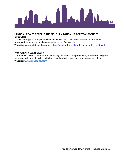

#### **LAMBDA LEGAL'S BENDING THE MOLD: AN ACTION KIT FOR TRANSGENDER\* STUDENTS**

This kit is designed to help make schools a safer place. Includes ideas and information to advocate for change, as well as an extensive list of resources. **Website:** www.lambdalegal.org/publications/bending-the-mold/order-bending-the-mold.html

#### *Trans Bodies, Trans Selves*

*Trans Bodies, Trans Selves* is a revolutionary resource-a comprehensive, reader-friendly guide for transgender people, with each chapter written by transgender or genderqueer authors. **Website:** [www.transbodies.com/](http://www.transbodies.com/)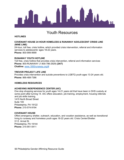

### Youth Resources

#### <span id="page-59-0"></span>**HOTLINES**

#### **COVENANT HOUSE 24 HOUR HOMELESS & RUNAWAY ADOLESCENT CRISIS LINE (NINE LINE)**

24-hour, toll free, crisis hotline, which provided crisis intervention, referral and information services to adolescents' ages 18-22 years. **Phone:** 800-999-9999

#### **RUNAWAY YOUTH HOTLINE**

Toll free, crisis hotline that provides crisis intervention, referral and information services **Phone:** 800-RUNAWAY (1-800-786-2929) **(24/7) Chatline:** [www.1800runaway.org/#](http://www.1800runaway.org/) 

#### **TREVOR PROJECT LIFE LINE**

Provides crisis intervention and suicide preventions to LGBTQ youth ages 13-24 years old. **Phone:** 866-488-7386

#### **HOMELESS RESOURCES**

#### **ACHIEVING INDEPENDENCE CENTER (AIC)**

One stop shopping services for youth ages 14-21 years old that have been in DHS custody at some point after turning 14. AIC offers education, job training, employment, housing referrals and job skills training. 1415 North Broad Street Suite 100 Philadelphia, PA 19122 **Phone:** 215-574-9194

#### **COVENANT HOUSE**

Offers emergency shelter, outreach, education, and vocation assistance, as well as transitional living to runaway and homeless youth ages 18-22 years old. Crisis Center/Shelter: 31 E. Armat St. Philadelphia, PA 19144 **Phone:** 215-951-5411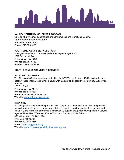

#### **VALLEY YOUTH HOUSE: PRIDE PROGRAM**

Must be 18-23 years old, homeless or near homeless and identify as LGBTQ. 1500 Sansom Street, Suite 300A Philadelphia, PA 19102 **Phone:** 215.925-3180

#### **YOUTH EMERGENCY SERVICES (YES)**

Emergency shelter for homeless and runaway youth ages 12-17. 1526 Fairmount Ave. Philadelphia, PA 19130 **Phone:** 215.787.0633 **Hotline**: 1.800.371.SAFE

#### **YOUTH SERVING AGENCIES & SERVICES**

#### **ATTIC YOUTH CENTER**

The Attic Youth Center creates opportunities for LGBTQ+ youth (ages 13-23) to develop into healthy, independent, civic-minded adults within a safe and supportive community. All services are free. 255 S. 16th St. Philadelphia, PA. 19102 **Phone:**:215-545-4331 **Email:** info@atticyouthcenter.org **Website:** [www.atticyouthcenter.org](http://www.atticyouthcenter.org/) 

#### **HITOPS NJ**

HiTOPS groups create a safe space for LGBTQ+ youth to meet, socialize, offer and provide support, and participate in educational activities regarding healthy relationships, gender and sexuality, and more! We offer three distinct weekly support groups for young people of varying ages and identities: TConnect.,First & Third, and Banner (Middle School). 300 Witherspoon St, Suite 204 Princeton, NJ 08542 **Phone:** 609-683-5155 **Email:** [Dvecchio@hitops.org](mailto:Dvecchio@hitops.org)  **Website:** [www.hitops.org/youth/lgbtq-support-group/](http://www.hitops.org/youth/lgbtq-support-group/)